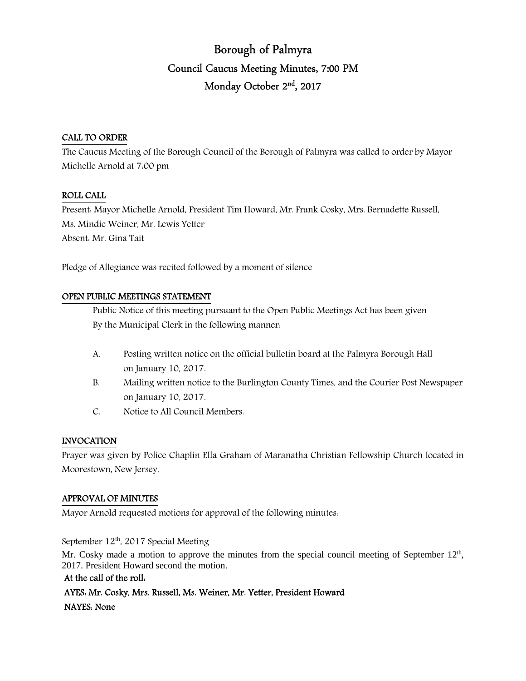# Borough of Palmyra Council Caucus Meeting Minutes, 7:00 PM Monday October 2<sup>nd</sup>, 2017

#### CALL TO ORDER

The Caucus Meeting of the Borough Council of the Borough of Palmyra was called to order by Mayor Michelle Arnold at 7:00 pm

## ROLL CALL

Present: Mayor Michelle Arnold, President Tim Howard, Mr. Frank Cosky, Mrs. Bernadette Russell, Ms. Mindie Weiner, Mr. Lewis Yetter Absent: Mr. Gina Tait

Pledge of Allegiance was recited followed by a moment of silence

## OPEN PUBLIC MEETINGS STATEMENT

 Public Notice of this meeting pursuant to the Open Public Meetings Act has been given By the Municipal Clerk in the following manner:

- A. Posting written notice on the official bulletin board at the Palmyra Borough Hall on January 10, 2017.
- B. Mailing written notice to the Burlington County Times, and the Courier Post Newspaper on January 10, 2017.
- C. Notice to All Council Members.

#### INVOCATION

Prayer was given by Police Chaplin Ella Graham of Maranatha Christian Fellowship Church located in Moorestown, New Jersey.

#### APPROVAL OF MINUTES

Mayor Arnold requested motions for approval of the following minutes:

September  $12^{th}$ , 2017 Special Meeting

Mr. Cosky made a motion to approve the minutes from the special council meeting of September  $12<sup>th</sup>$ , 2017. President Howard second the motion.

#### At the call of the roll:

 AYES: Mr. Cosky, Mrs. Russell, Ms. Weiner, Mr. Yetter, President Howard NAYES: None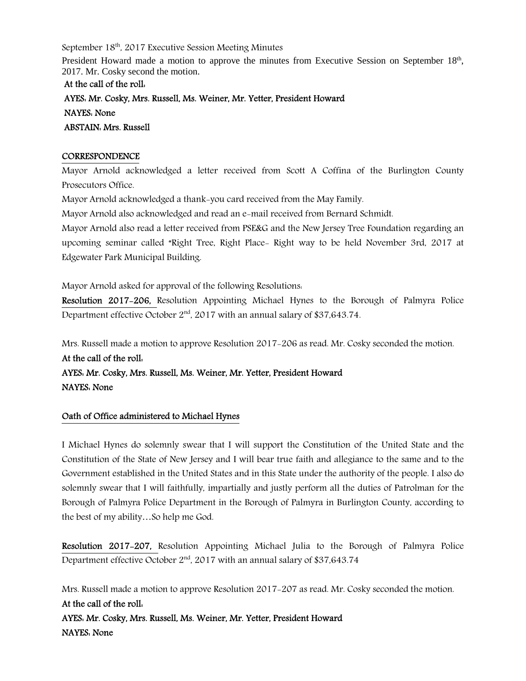September 18<sup>th</sup>, 2017 Executive Session Meeting Minutes

President Howard made a motion to approve the minutes from Executive Session on September 18<sup>th</sup>, 2017. Mr. Cosky second the motion.

At the call of the roll: AYES: Mr. Cosky, Mrs. Russell, Ms. Weiner, Mr. Yetter, President Howard NAYES: None ABSTAIN: Mrs. Russell

#### **CORRESPONDENCE**

Mayor Arnold acknowledged a letter received from Scott A Coffina of the Burlington County Prosecutors Office.

Mayor Arnold acknowledged a thank-you card received from the May Family.

Mayor Arnold also acknowledged and read an e-mail received from Bernard Schmidt.

Mayor Arnold also read a letter received from PSE&G and the New Jersey Tree Foundation regarding an upcoming seminar called "Right Tree, Right Place- Right way to be held November 3rd, 2017 at Edgewater Park Municipal Building.

Mayor Arnold asked for approval of the following Resolutions:

Resolution 2017-206, Resolution Appointing Michael Hynes to the Borough of Palmyra Police Department effective October  $2<sup>nd</sup>$ , 2017 with an annual salary of \$37,643.74.

Mrs. Russell made a motion to approve Resolution 2017-206 as read. Mr. Cosky seconded the motion.

At the call of the roll: AYES: Mr. Cosky, Mrs. Russell, Ms. Weiner, Mr. Yetter, President Howard NAYES: None

## Oath of Office administered to Michael Hynes

I Michael Hynes do solemnly swear that I will support the Constitution of the United State and the Constitution of the State of New Jersey and I will bear true faith and allegiance to the same and to the Government established in the United States and in this State under the authority of the people. I also do solemnly swear that I will faithfully, impartially and justly perform all the duties of Patrolman for the Borough of Palmyra Police Department in the Borough of Palmyra in Burlington County, according to the best of my ability…So help me God.

Resolution 2017-207, Resolution Appointing Michael Julia to the Borough of Palmyra Police Department effective October 2<sup>nd</sup>, 2017 with an annual salary of \$37,643.74

Mrs. Russell made a motion to approve Resolution 2017-207 as read. Mr. Cosky seconded the motion. At the call of the roll: AYES: Mr. Cosky, Mrs. Russell, Ms. Weiner, Mr. Yetter, President Howard NAYES: None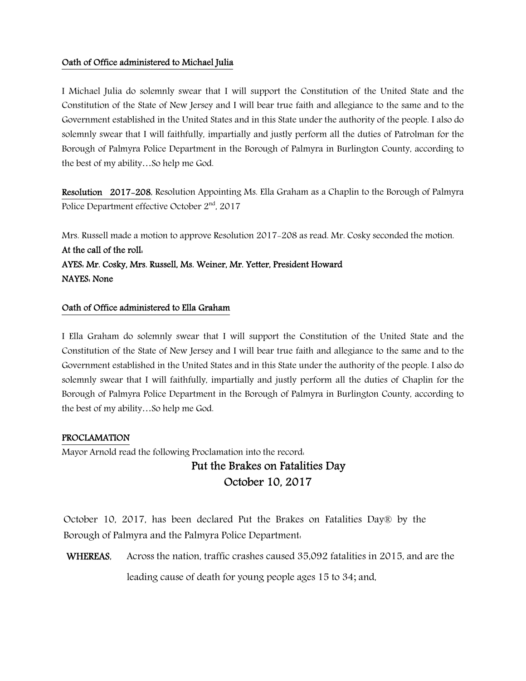#### Oath of Office administered to Michael Julia

I Michael Julia do solemnly swear that I will support the Constitution of the United State and the Constitution of the State of New Jersey and I will bear true faith and allegiance to the same and to the Government established in the United States and in this State under the authority of the people. I also do solemnly swear that I will faithfully, impartially and justly perform all the duties of Patrolman for the Borough of Palmyra Police Department in the Borough of Palmyra in Burlington County, according to the best of my ability…So help me God.

Resolution 2017-208, Resolution Appointing Ms. Ella Graham as a Chaplin to the Borough of Palmyra Police Department effective October 2<sup>nd</sup>, 2017

Mrs. Russell made a motion to approve Resolution 2017-208 as read. Mr. Cosky seconded the motion. At the call of the roll: AYES: Mr. Cosky, Mrs. Russell, Ms. Weiner, Mr. Yetter, President Howard NAYES: None

#### Oath of Office administered to Ella Graham

I Ella Graham do solemnly swear that I will support the Constitution of the United State and the Constitution of the State of New Jersey and I will bear true faith and allegiance to the same and to the Government established in the United States and in this State under the authority of the people. I also do solemnly swear that I will faithfully, impartially and justly perform all the duties of Chaplin for the Borough of Palmyra Police Department in the Borough of Palmyra in Burlington County, according to the best of my ability…So help me God.

#### PROCLAMATION

Mayor Arnold read the following Proclamation into the record:

## Put the Brakes on Fatalities Day October 10, 2017

October 10, 2017, has been declared Put the Brakes on Fatalities Day® by the Borough of Palmyra and the Palmyra Police Department:

WHEREAS, Across the nation, traffic crashes caused 35,092 fatalities in 2015, and are the

leading cause of death for young people ages 15 to 34; and,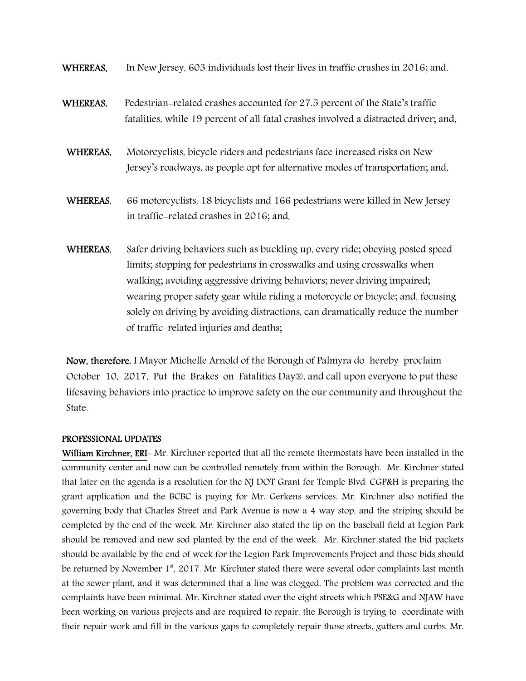- WHEREAS, In New Jersey, 603 individuals lost their lives in traffic crashes in 2016; and,
- WHEREAS, Pedestrian-related crashes accounted for 27.5 percent of the State's traffic fatalities, while 19 percent of all fatal crashes involved a distracted driver; and,
- WHEREAS, Motorcyclists, bicycle riders and pedestrians face increased risks on New Jersey's roadways, as people opt for alternative modes of transportation; and,
- WHEREAS, 66 motorcyclists, 18 bicyclists and 166 pedestrians were killed in New Jersey in traffic-related crashes in 2016; and,
- WHEREAS, Safer driving behaviors such as buckling up, every ride; obeying posted speed limits; stopping for pedestrians in crosswalks and using crosswalks when walking; avoiding aggressive driving behaviors; never driving impaired; wearing proper safety gear while riding a motorcycle or bicycle; and, focusing solely on driving by avoiding distractions, can dramatically reduce the number of traffic-related injuries and deaths;

Now, therefore, I Mayor Michelle Arnold of the Borough of Palmyra do hereby proclaim October 10, 2017, Put the Brakes on Fatalities Day®, and call upon everyone to put these lifesaving behaviors into practice to improve safety on the our community and throughout the State.

#### PROFESSIONAL UPDATES

William Kirchner, ERI- Mr. Kirchner reported that all the remote thermostats have been installed in the community center and now can be controlled remotely from within the Borough. Mr. Kirchner stated that later on the agenda is a resolution for the NJ DOT Grant for Temple Blvd. CGP&H is preparing the grant application and the BCBC is paying for Mr. Gerkens services. Mr. Kirchner also notified the governing body that Charles Street and Park Avenue is now a 4 way stop, and the striping should be completed by the end of the week. Mr. Kirchner also stated the lip on the baseball field at Legion Park should be removed and new sod planted by the end of the week. Mr. Kirchner stated the bid packets should be available by the end of week for the Legion Park Improvements Project and those bids should be returned by November 1<sup>st</sup>, 2017. Mr. Kirchner stated there were several odor complaints last month at the sewer plant, and it was determined that a line was clogged. The problem was corrected and the complaints have been minimal. Mr. Kirchner stated over the eight streets which PSE&G and NJAW have been working on various projects and are required to repair, the Borough is trying to coordinate with their repair work and fill in the various gaps to completely repair those streets, gutters and curbs. Mr.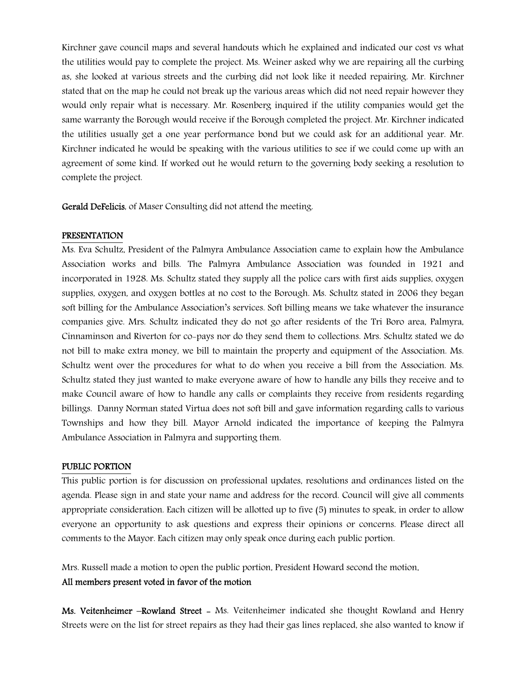Kirchner gave council maps and several handouts which he explained and indicated our cost vs what the utilities would pay to complete the project. Ms. Weiner asked why we are repairing all the curbing as, she looked at various streets and the curbing did not look like it needed repairing. Mr. Kirchner stated that on the map he could not break up the various areas which did not need repair however they would only repair what is necessary. Mr. Rosenberg inquired if the utility companies would get the same warranty the Borough would receive if the Borough completed the project. Mr. Kirchner indicated the utilities usually get a one year performance bond but we could ask for an additional year. Mr. Kirchner indicated he would be speaking with the various utilities to see if we could come up with an agreement of some kind. If worked out he would return to the governing body seeking a resolution to complete the project.

Gerald DeFelicis, of Maser Consulting did not attend the meeting.

#### PRESENTATION

Ms. Eva Schultz, President of the Palmyra Ambulance Association came to explain how the Ambulance Association works and bills. The Palmyra Ambulance Association was founded in 1921 and incorporated in 1928. Ms. Schultz stated they supply all the police cars with first aids supplies, oxygen supplies, oxygen, and oxygen bottles at no cost to the Borough. Ms. Schultz stated in 2006 they began soft billing for the Ambulance Association's services. Soft billing means we take whatever the insurance companies give. Mrs. Schultz indicated they do not go after residents of the Tri Boro area, Palmyra, Cinnaminson and Riverton for co-pays nor do they send them to collections. Mrs. Schultz stated we do not bill to make extra money, we bill to maintain the property and equipment of the Association. Ms. Schultz went over the procedures for what to do when you receive a bill from the Association. Ms. Schultz stated they just wanted to make everyone aware of how to handle any bills they receive and to make Council aware of how to handle any calls or complaints they receive from residents regarding billings. Danny Norman stated Virtua does not soft bill and gave information regarding calls to various Townships and how they bill. Mayor Arnold indicated the importance of keeping the Palmyra Ambulance Association in Palmyra and supporting them.

#### PUBLIC PORTION

This public portion is for discussion on professional updates, resolutions and ordinances listed on the agenda. Please sign in and state your name and address for the record. Council will give all comments appropriate consideration. Each citizen will be allotted up to five (5) minutes to speak, in order to allow everyone an opportunity to ask questions and express their opinions or concerns. Please direct all comments to the Mayor. Each citizen may only speak once during each public portion.

Mrs. Russell made a motion to open the public portion, President Howard second the motion.

#### All members present voted in favor of the motion

Ms. Veitenheimer –Rowland Street - Ms. Veitenheimer indicated she thought Rowland and Henry Streets were on the list for street repairs as they had their gas lines replaced, she also wanted to know if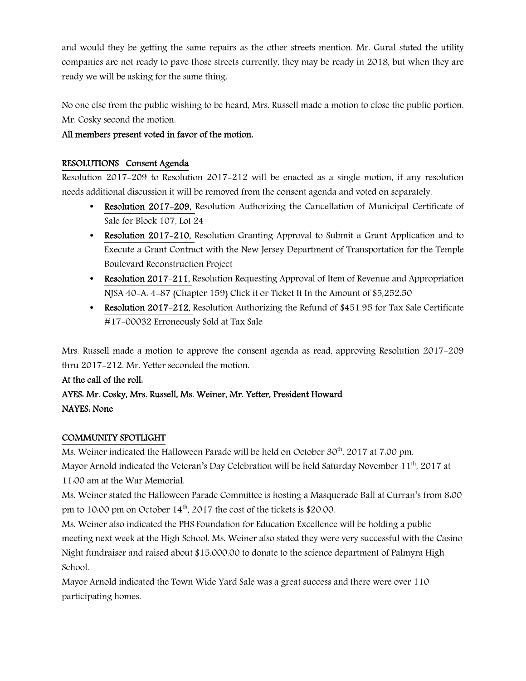and would they be getting the same repairs as the other streets mention. Mr. Gural stated the utility companies are not ready to pave those streets currently, they may be ready in 2018, but when they are ready we will be asking for the same thing.

No one else from the public wishing to be heard, Mrs. Russell made a motion to close the public portion. Mr. Cosky second the motion.

## All members present voted in favor of the motion.

## RESOLUTIONS Consent Agenda

Resolution 2017-209 to Resolution 2017-212 will be enacted as a single motion, if any resolution needs additional discussion it will be removed from the consent agenda and voted on separately.

- Resolution 2017-209, Resolution Authorizing the Cancellation of Municipal Certificate of Sale for Block 107, Lot 24
- Resolution 2017–210, Resolution Granting Approval to Submit a Grant Application and to Execute a Grant Contract with the New Jersey Department of Transportation for the Temple Boulevard Reconstruction Project
- Resolution 2017–211, Resolution Requesting Approval of Item of Revenue and Appropriation NJSA 40-A: 4-87 (Chapter 159) Click it or Ticket It In the Amount of \$5,252.50
- Resolution 2017-212, Resolution Authorizing the Refund of \$451.95 for Tax Sale Certificate #17-00032 Erroneously Sold at Tax Sale

Mrs. Russell made a motion to approve the consent agenda as read, approving Resolution 2017-209 thru 2017-212. Mr. Yetter seconded the motion.

## At the call of the roll:

## AYES: Mr. Cosky, Mrs. Russell, Ms. Weiner, Mr. Yetter, President Howard NAYES: None

#### COMMUNITY SPOTLIGHT

Ms. Weiner indicated the Halloween Parade will be held on October 30<sup>th</sup>, 2017 at 7:00 pm. Mayor Arnold indicated the Veteran's Day Celebration will be held Saturday November 11<sup>th</sup>, 2017 at 11:00 am at the War Memorial.

Ms. Weiner stated the Halloween Parade Committee is hosting a Masquerade Ball at Curran's from 8:00 pm to 10:00 pm on October  $14<sup>th</sup>$ , 2017 the cost of the tickets is \$20.00.

Ms. Weiner also indicated the PHS Foundation for Education Excellence will be holding a public meeting next week at the High School. Ms. Weiner also stated they were very successful with the Casino Night fundraiser and raised about \$15,000.00 to donate to the science department of Palmyra High School.

Mayor Arnold indicated the Town Wide Yard Sale was a great success and there were over 110 participating homes.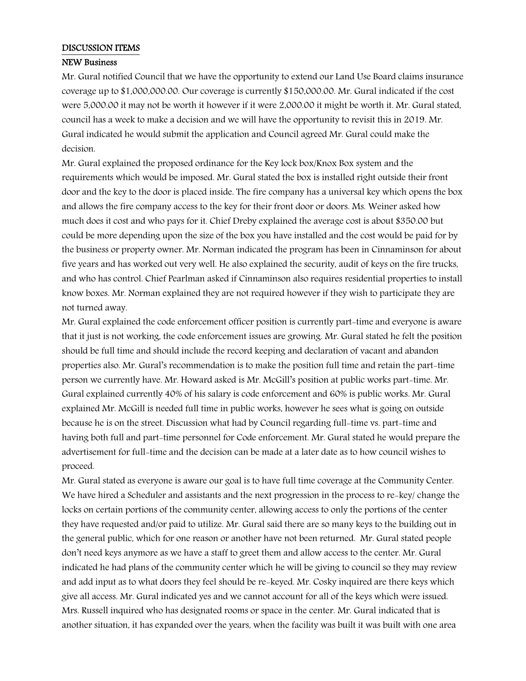#### DISCUSSION ITEMS

#### NEW Business

Mr. Gural notified Council that we have the opportunity to extend our Land Use Board claims insurance coverage up to \$1,000,000.00. Our coverage is currently \$150,000.00. Mr. Gural indicated if the cost were 5,000.00 it may not be worth it however if it were 2,000.00 it might be worth it. Mr. Gural stated, council has a week to make a decision and we will have the opportunity to revisit this in 2019. Mr. Gural indicated he would submit the application and Council agreed Mr. Gural could make the decision.

Mr. Gural explained the proposed ordinance for the Key lock box/Knox Box system and the requirements which would be imposed. Mr. Gural stated the box is installed right outside their front door and the key to the door is placed inside. The fire company has a universal key which opens the box and allows the fire company access to the key for their front door or doors. Ms. Weiner asked how much does it cost and who pays for it. Chief Dreby explained the average cost is about \$350.00 but could be more depending upon the size of the box you have installed and the cost would be paid for by the business or property owner. Mr. Norman indicated the program has been in Cinnaminson for about five years and has worked out very well. He also explained the security, audit of keys on the fire trucks, and who has control. Chief Pearlman asked if Cinnaminson also requires residential properties to install know boxes. Mr. Norman explained they are not required however if they wish to participate they are not turned away.

Mr. Gural explained the code enforcement officer position is currently part-time and everyone is aware that it just is not working, the code enforcement issues are growing. Mr. Gural stated he felt the position should be full time and should include the record keeping and declaration of vacant and abandon properties also. Mr. Gural's recommendation is to make the position full time and retain the part-time person we currently have. Mr. Howard asked is Mr. McGill's position at public works part-time. Mr. Gural explained currently 40% of his salary is code enforcement and 60% is public works. Mr. Gural explained Mr. McGill is needed full time in public works, however he sees what is going on outside because he is on the street. Discussion what had by Council regarding full-time vs. part-time and having both full and part-time personnel for Code enforcement. Mr. Gural stated he would prepare the advertisement for full-time and the decision can be made at a later date as to how council wishes to proceed.

Mr. Gural stated as everyone is aware our goal is to have full time coverage at the Community Center. We have hired a Scheduler and assistants and the next progression in the process to re-key/ change the locks on certain portions of the community center, allowing access to only the portions of the center they have requested and/or paid to utilize. Mr. Gural said there are so many keys to the building out in the general public, which for one reason or another have not been returned. Mr. Gural stated people don't need keys anymore as we have a staff to greet them and allow access to the center. Mr. Gural indicated he had plans of the community center which he will be giving to council so they may review and add input as to what doors they feel should be re-keyed. Mr. Cosky inquired are there keys which give all access. Mr. Gural indicated yes and we cannot account for all of the keys which were issued. Mrs. Russell inquired who has designated rooms or space in the center. Mr. Gural indicated that is another situation, it has expanded over the years, when the facility was built it was built with one area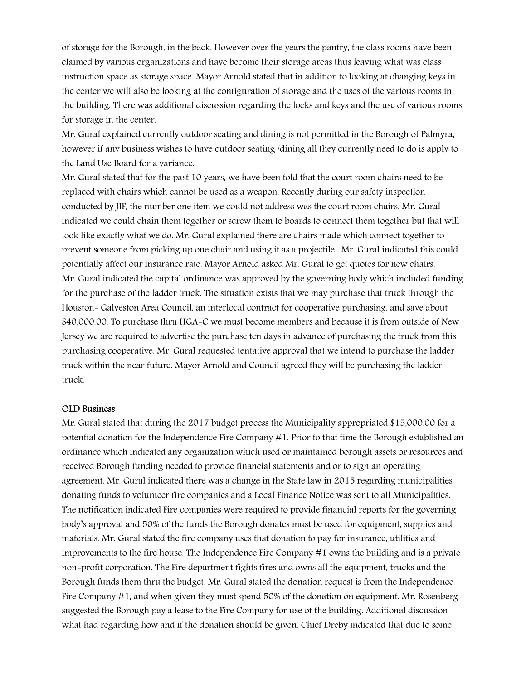of storage for the Borough, in the back. However over the years the pantry, the class rooms have been claimed by various organizations and have become their storage areas thus leaving what was class instruction space as storage space. Mayor Arnold stated that in addition to looking at changing keys in the center we will also be looking at the configuration of storage and the uses of the various rooms in the building. There was additional discussion regarding the locks and keys and the use of various rooms for storage in the center.

Mr. Gural explained currently outdoor seating and dining is not permitted in the Borough of Palmyra, however if any business wishes to have outdoor seating /dining all they currently need to do is apply to the Land Use Board for a variance.

Mr. Gural stated that for the past 10 years, we have been told that the court room chairs need to be replaced with chairs which cannot be used as a weapon. Recently during our safety inspection conducted by JIF, the number one item we could not address was the court room chairs. Mr. Gural indicated we could chain them together or screw them to boards to connect them together but that will look like exactly what we do. Mr. Gural explained there are chairs made which connect together to prevent someone from picking up one chair and using it as a projectile. Mr. Gural indicated this could potentially affect our insurance rate. Mayor Arnold asked Mr. Gural to get quotes for new chairs. Mr. Gural indicated the capital ordinance was approved by the governing body which included funding for the purchase of the ladder truck. The situation exists that we may purchase that truck through the Houston- Galveston Area Council, an interlocal contract for cooperative purchasing, and save about \$40,000.00. To purchase thru HGA-C we must become members and because it is from outside of New Jersey we are required to advertise the purchase ten days in advance of purchasing the truck from this purchasing cooperative. Mr. Gural requested tentative approval that we intend to purchase the ladder truck within the near future. Mayor Arnold and Council agreed they will be purchasing the ladder truck.

#### OLD Business

Mr. Gural stated that during the 2017 budget process the Municipality appropriated \$15,000.00 for a potential donation for the Independence Fire Company #1. Prior to that time the Borough established an ordinance which indicated any organization which used or maintained borough assets or resources and received Borough funding needed to provide financial statements and or to sign an operating agreement. Mr. Gural indicated there was a change in the State law in 2015 regarding municipalities donating funds to volunteer fire companies and a Local Finance Notice was sent to all Municipalities. The notification indicated Fire companies were required to provide financial reports for the governing body's approval and 50% of the funds the Borough donates must be used for equipment, supplies and materials. Mr. Gural stated the fire company uses that donation to pay for insurance, utilities and improvements to the fire house. The Independence Fire Company #1 owns the building and is a private non-profit corporation. The Fire department fights fires and owns all the equipment, trucks and the Borough funds them thru the budget. Mr. Gural stated the donation request is from the Independence Fire Company #1, and when given they must spend 50% of the donation on equipment. Mr. Rosenberg suggested the Borough pay a lease to the Fire Company for use of the building. Additional discussion what had regarding how and if the donation should be given. Chief Dreby indicated that due to some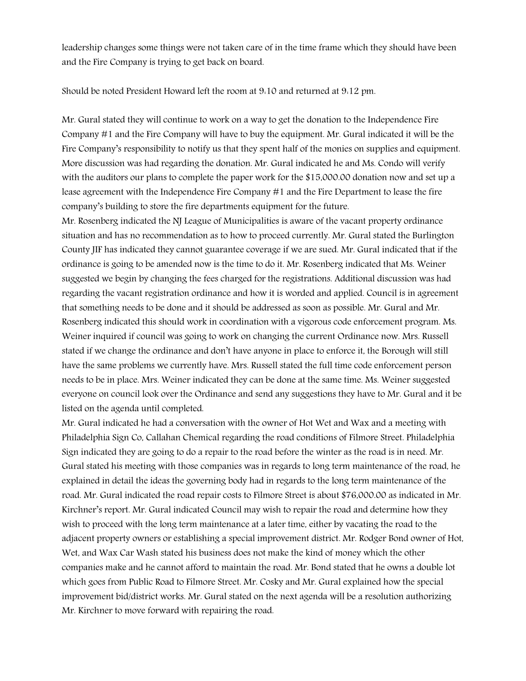leadership changes some things were not taken care of in the time frame which they should have been and the Fire Company is trying to get back on board.

Should be noted President Howard left the room at 9:10 and returned at 9:12 pm.

Mr. Gural stated they will continue to work on a way to get the donation to the Independence Fire Company #1 and the Fire Company will have to buy the equipment. Mr. Gural indicated it will be the Fire Company's responsibility to notify us that they spent half of the monies on supplies and equipment. More discussion was had regarding the donation. Mr. Gural indicated he and Ms. Condo will verify with the auditors our plans to complete the paper work for the \$15,000.00 donation now and set up a lease agreement with the Independence Fire Company #1 and the Fire Department to lease the fire company's building to store the fire departments equipment for the future.

Mr. Rosenberg indicated the NJ League of Municipalities is aware of the vacant property ordinance situation and has no recommendation as to how to proceed currently. Mr. Gural stated the Burlington County JIF has indicated they cannot guarantee coverage if we are sued. Mr. Gural indicated that if the ordinance is going to be amended now is the time to do it. Mr. Rosenberg indicated that Ms. Weiner suggested we begin by changing the fees charged for the registrations. Additional discussion was had regarding the vacant registration ordinance and how it is worded and applied. Council is in agreement that something needs to be done and it should be addressed as soon as possible. Mr. Gural and Mr. Rosenberg indicated this should work in coordination with a vigorous code enforcement program. Ms. Weiner inquired if council was going to work on changing the current Ordinance now. Mrs. Russell stated if we change the ordinance and don't have anyone in place to enforce it, the Borough will still have the same problems we currently have. Mrs. Russell stated the full time code enforcement person needs to be in place. Mrs. Weiner indicated they can be done at the same time. Ms. Weiner suggested everyone on council look over the Ordinance and send any suggestions they have to Mr. Gural and it be listed on the agenda until completed.

Mr. Gural indicated he had a conversation with the owner of Hot Wet and Wax and a meeting with Philadelphia Sign Co, Callahan Chemical regarding the road conditions of Filmore Street. Philadelphia Sign indicated they are going to do a repair to the road before the winter as the road is in need. Mr. Gural stated his meeting with those companies was in regards to long term maintenance of the road, he explained in detail the ideas the governing body had in regards to the long term maintenance of the road. Mr. Gural indicated the road repair costs to Filmore Street is about \$76,000.00 as indicated in Mr. Kirchner's report. Mr. Gural indicated Council may wish to repair the road and determine how they wish to proceed with the long term maintenance at a later time, either by vacating the road to the adjacent property owners or establishing a special improvement district. Mr. Rodger Bond owner of Hot, Wet, and Wax Car Wash stated his business does not make the kind of money which the other companies make and he cannot afford to maintain the road. Mr. Bond stated that he owns a double lot which goes from Public Road to Filmore Street. Mr. Cosky and Mr. Gural explained how the special improvement bid/district works. Mr. Gural stated on the next agenda will be a resolution authorizing Mr. Kirchner to move forward with repairing the road.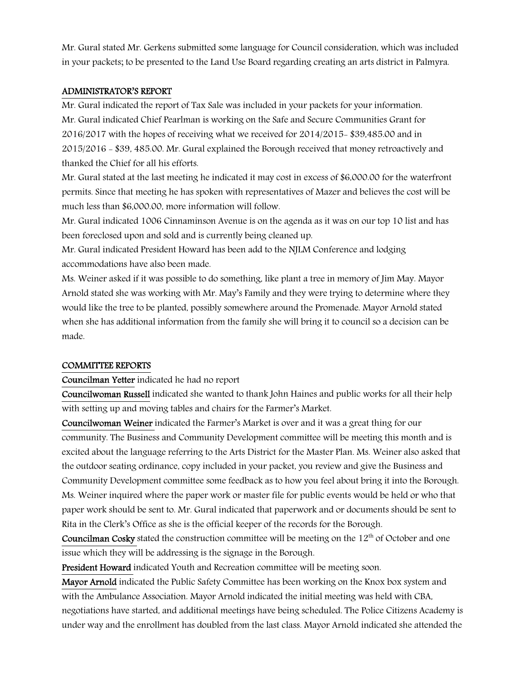Mr. Gural stated Mr. Gerkens submitted some language for Council consideration, which was included in your packets; to be presented to the Land Use Board regarding creating an arts district in Palmyra.

#### ADMINISTRATOR'S REPORT

Mr. Gural indicated the report of Tax Sale was included in your packets for your information. Mr. Gural indicated Chief Pearlman is working on the Safe and Secure Communities Grant for 2016/2017 with the hopes of receiving what we received for 2014/2015- \$39,485.00 and in 2015/2016 - \$39, 485.00. Mr. Gural explained the Borough received that money retroactively and thanked the Chief for all his efforts.

Mr. Gural stated at the last meeting he indicated it may cost in excess of \$6,000.00 for the waterfront permits. Since that meeting he has spoken with representatives of Mazer and believes the cost will be much less than \$6,000.00, more information will follow.

Mr. Gural indicated 1006 Cinnaminson Avenue is on the agenda as it was on our top 10 list and has been foreclosed upon and sold and is currently being cleaned up.

Mr. Gural indicated President Howard has been add to the NJLM Conference and lodging accommodations have also been made.

Ms. Weiner asked if it was possible to do something, like plant a tree in memory of Jim May. Mayor Arnold stated she was working with Mr. May's Family and they were trying to determine where they would like the tree to be planted, possibly somewhere around the Promenade. Mayor Arnold stated when she has additional information from the family she will bring it to council so a decision can be made.

#### COMMITTEE REPORTS

Councilman Yetter indicated he had no report

Councilwoman Russell indicated she wanted to thank John Haines and public works for all their help with setting up and moving tables and chairs for the Farmer's Market.

Councilwoman Weiner indicated the Farmer's Market is over and it was a great thing for our community. The Business and Community Development committee will be meeting this month and is excited about the language referring to the Arts District for the Master Plan. Ms. Weiner also asked that the outdoor seating ordinance, copy included in your packet, you review and give the Business and Community Development committee some feedback as to how you feel about bring it into the Borough. Ms. Weiner inquired where the paper work or master file for public events would be held or who that paper work should be sent to. Mr. Gural indicated that paperwork and or documents should be sent to Rita in the Clerk's Office as she is the official keeper of the records for the Borough.

Councilman Cosky stated the construction committee will be meeting on the  $12<sup>th</sup>$  of October and one issue which they will be addressing is the signage in the Borough.

President Howard indicated Youth and Recreation committee will be meeting soon.

Mayor Arnold indicated the Public Safety Committee has been working on the Knox box system and with the Ambulance Association. Mayor Arnold indicated the initial meeting was held with CBA, negotiations have started, and additional meetings have being scheduled. The Police Citizens Academy is under way and the enrollment has doubled from the last class. Mayor Arnold indicated she attended the